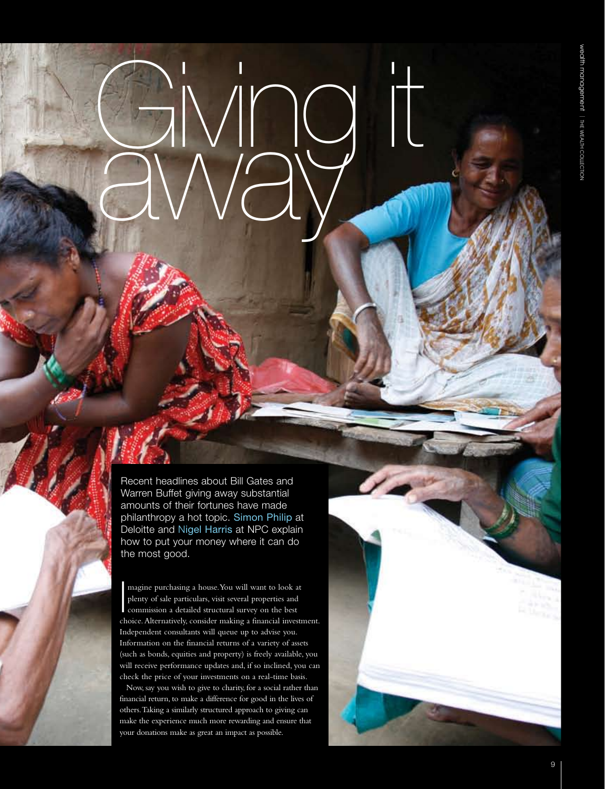Recent headlines about Bill Gates and Warren Buffet giving away substantial amounts of their fortunes have made philanthropy a hot topic. Simon Philip at Deloitte and Nigel Harris at NPC explain how to put your money where it can do the most good.

Giving it

away

In the limit of the limit of the limit of the limit of the limit of the limit of the limit of the limit of the limit of the limit of the limit of the limit of the limit of the limit of the limit of the limit of the limit o magine purchasing a house. You will want to look at plenty of sale particulars, visit several properties and commission a detailed structural survey on the best choice. Alternatively, consider making a financial investment. Independent consultants will queue up to advise you. Information on the financial returns of a variety of assets (such as bonds, equities and property) is freely available, you will receive performance updates and, if so inclined, you can check the price of your investments on a real-time basis.

Now, say you wish to give to charity, for a social rather than financial return, to make a difference for good in the lives of others. Taking a similarly structured approach to giving can make the experience much more rewarding and ensure that your donations make as great an impact as possible.

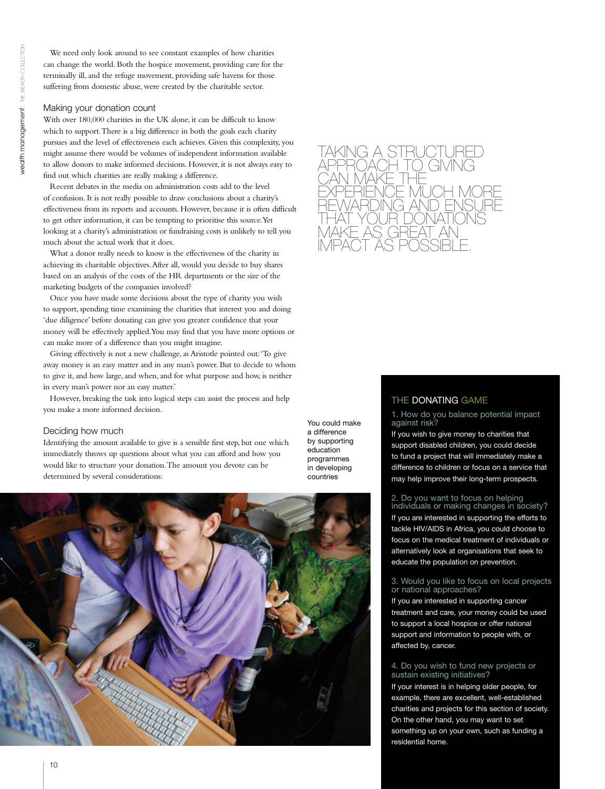We need only look around to see constant examples of how charities can change the world. Both the hospice movement, providing care for the terminally ill, and the refuge movement, providing safe havens for those suffering from domestic abuse, were created by the charitable sector.

## Making your donation count

With over 180,000 charities in the UK alone, it can be difficult to know which to support. There is a big difference in both the goals each charity pursues and the level of effectiveness each achieves. Given this complexity, you might assume there would be volumes of independent information available to allow donors to make informed decisions. However, it is not always easy to find out which charities are really making a difference.

Recent debates in the media on administration costs add to the level of confusion. It is not really possible to draw conclusions about a charity's effectiveness from its reports and accounts. However, because it is often difficult to get other information, it can be tempting to prioritise this source. Yet looking at a charity's administration or fundraising costs is unlikely to tell you much about the actual work that it does.

What a donor really needs to know is the effectiveness of the charity in achieving its charitable objectives. After all, would you decide to buy shares based on an analysis of the costs of the HR departments or the size of the marketing budgets of the companies involved?

Once you have made some decisions about the type of charity you wish to support, spending time examining the charities that interest you and doing 'due diligence' before donating can give you greater confidence that your money will be effectively applied. You may find that you have more options or can make more of a difference than you might imagine.

Giving effectively is not a new challenge, as Aristotle pointed out: 'To give away money is an easy matter and in any man's power. But to decide to whom to give it, and how large, and when, and for what purpose and how, is neither in every man's power nor an easy matter.'

However, breaking the task into logical steps can assist the process and help you make a more informed decision.

#### Deciding how much

Identifying the amount available to give is a sensible first step, but one which immediately throws up questions about what you can afford and how you would like to structure your donation. The amount you devote can be determined by several considerations:

You could make a difference by supporting education programmes in developing countries





# THE DONATING GAME

1. How do you balance potential impact against risk?

If you wish to give money to charities that support disabled children, you could decide to fund a project that will immediately make a difference to children or focus on a service that may help improve their long-term prospects.

## 2. Do you want to focus on helping

individuals or making changes in society? If you are interested in supporting the efforts to tackle HIV/AIDS in Africa, you could choose to focus on the medical treatment of individuals or alternatively look at organisations that seek to educate the population on prevention.

### 3. Would you like to focus on local projects or national approaches?

If you are interested in supporting cancer treatment and care, your money could be used to support a local hospice or offer national support and information to people with, or affected by, cancer.

## 4. Do you wish to fund new projects or sustain existing initiatives?

If your interest is in helping older people, for example, there are excellent, well-established charities and projects for this section of society. On the other hand, you may want to set something up on your own, such as funding a residential home.